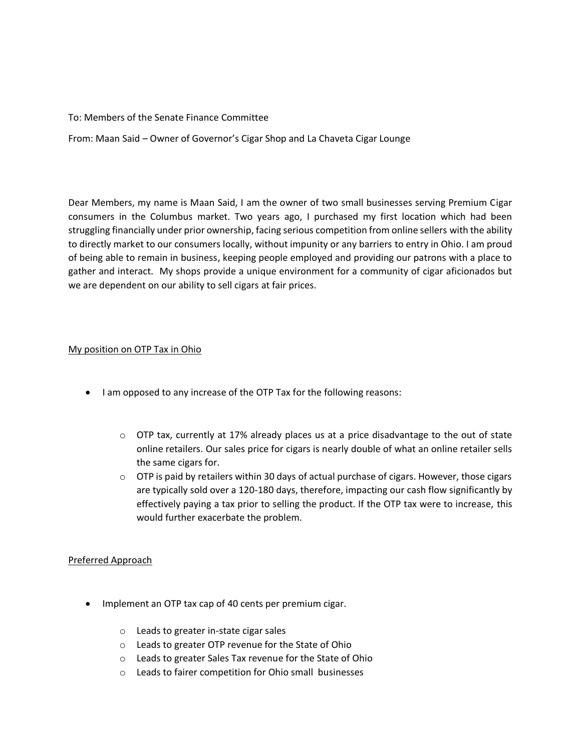## To: Members of the Senate Finance Committee

From: Maan Said – Owner of Governor's Cigar Shop and La Chaveta Cigar Lounge

Dear Members, my name is Maan Said, I am the owner of two small businesses serving Premium Cigar consumers in the Columbus market. Two years ago, I purchased my first location which had been struggling financially under prior ownership, facing serious competition from online sellers with the ability to directly market to our consumers locally, without impunity or any barriers to entry in Ohio. I am proud of being able to remain in business, keeping people employed and providing our patrons with a place to gather and interact. My shops provide a unique environment for a community of cigar aficionados but we are dependent on our ability to sell cigars at fair prices.

# My position on OTP Tax in Ohio

- I am opposed to any increase of the OTP Tax for the following reasons:
	- $\circ$  OTP tax, currently at 17% already places us at a price disadvantage to the out of state online retailers. Our sales price for cigars is nearly double of what an online retailer sells the same cigars for.
	- $\circ$  OTP is paid by retailers within 30 days of actual purchase of cigars. However, those cigars are typically sold over a 120-180 days, therefore, impacting our cash flow significantly by effectively paying a tax prior to selling the product. If the OTP tax were to increase, this would further exacerbate the problem.

# Preferred Approach

- Implement an OTP tax cap of 40 cents per premium cigar.
	- o Leads to greater in-state cigar sales
	- o Leads to greater OTP revenue for the State of Ohio
	- o Leads to greater Sales Tax revenue for the State of Ohio
	- o Leads to fairer competition for Ohio small businesses